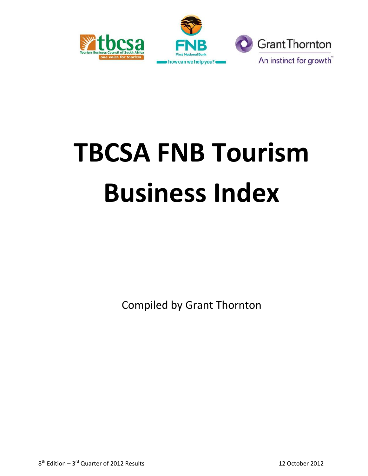



# **TBCSA FNB Tourism Business Index**

Compiled by Grant Thornton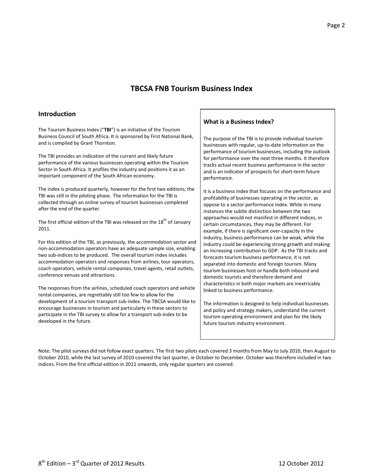### **TBCSA FNB Tourism Business Index**

#### **Introduction**

The Tourism Business Index ("**TBI**") is an initiative of the Tourism Business Council of South Africa. It is sponsored by First National Bank, and is compiled by Grant Thornton.

The TBI provides an indication of the current and likely future performance of the various businesses operating within the Tourism Sector in South Africa. It profiles the industry and positions it as an important component of the South African economy.

The index is produced quarterly, however for the first two editions; the TBI was still in the piloting phase. The information for the TBI is collected through an online survey of tourism businesses completed after the end of the quarter.

The first official edition of the TBI was released on the  $18<sup>th</sup>$  of January 2011.

For this edition of the TBI, as previously, the accommodation sector and non-accommodation operators have an adequate sample size, enabling two sub-indices to be produced. The overall tourism index includes accommodation operators and responses from airlines, tour operators, coach operators, vehicle rental companies, travel agents, retail outlets, conference venues and attractions.

The responses from the airlines, scheduled coach operators and vehicle rental companies, are regrettably still too few to allow for the development of a tourism transport sub-index. The TBCSA would like to encourage businesses in tourism and particularly in these sectors to participate in the TBI survey to allow for a transport sub-index to be developed in the future.

#### **What is a Business Index?**

The purpose of the TBI is to provide individual tourism businesses with regular, up-to-date information on the performance of tourism businesses, including the outlook for performance over the next three months. It therefore tracks actual recent business performance in the sector and is an indicator of prospects for short-term future performance.

It is a business index that focuses on the performance and profitability of businesses operating in the sector, as oppose to a sector performance index. While in many instances the subtle distinction between the two approaches would not manifest in different indices, in certain circumstances, they may be different. For example, if there is significant over-capacity in the industry, business performance can be weak, while the industry could be experiencing strong growth and making an increasing contribution to GDP. As the TBI tracks and forecasts tourism business performance, it is not separated into domestic and foreign tourism. Many tourism businesses host or handle both inbound and domestic tourists and therefore demand and characteristics in both major markets are inextricably linked to business performance.

The information is designed to help individual businesses and policy and strategy makers, understand the current tourism operating environment and plan for the likely future tourism industry environment.

Note: The pilot surveys did not follow exact quarters. The first two pilots each covered 3 months from May to July 2010, then August to October 2010, while the last survey of 2010 covered the last quarter, ie October to December. October was therefore included in two indices. From the first official edition in 2011 onwards, only regular quarters are covered.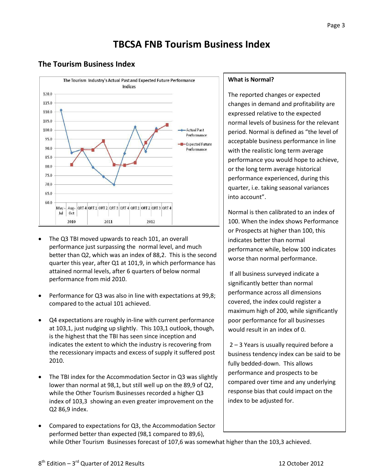# **TBCSA FNB Tourism Business Index**

# **The Tourism Business Index**



- The Q3 TBI moved upwards to reach 101, an overall performance just surpassing the normal level, and much better than Q2, which was an index of 88,2. This is the second quarter this year, after Q1 at 101,9, in which performance has attained normal levels, after 6 quarters of below normal performance from mid 2010.
- Performance for Q3 was also in line with expectations at 99,8; compared to the actual 101 achieved.
- Q4 expectations are roughly in-line with current performance at 103,1, just nudging up slightly. This 103,1 outlook, though, is the highest that the TBI has seen since inception and indicates the extent to which the industry is recovering from the recessionary impacts and excess of supply it suffered post 2010.
- The TBI index for the Accommodation Sector in Q3 was slightly lower than normal at 98,1, but still well up on the 89,9 of Q2, while the Other Tourism Businesses recorded a higher Q3 index of 103,3 showing an even greater improvement on the Q2 86,9 index.
- Compared to expectations for Q3, the Accommodation Sector performed better than expected (98,1 compared to 89,6),

#### **What is Normal?**

The reported changes or expected changes in demand and profitability are expressed relative to the expected normal levels of business for the relevant period. Normal is defined as "the level of acceptable business performance in line with the realistic long term average performance you would hope to achieve, or the long term average historical performance experienced, during this quarter, i.e. taking seasonal variances into account".

Normal is then calibrated to an index of 100. When the index shows Performance or Prospects at higher than 100, this indicates better than normal performance while, below 100 indicates worse than normal performance.

If all business surveyed indicate a significantly better than normal performance across all dimensions covered, the index could register a maximum high of 200, while significantly poor performance for all businesses would result in an index of 0.

2 – 3 Years is usually required before a business tendency index can be said to be fully bedded-down. This allows performance and prospects to be compared over time and any underlying response bias that could impact on the index to be adjusted for.

while Other Tourism Businesses forecast of 107,6 was somewhat higher than the 103,3 achieved.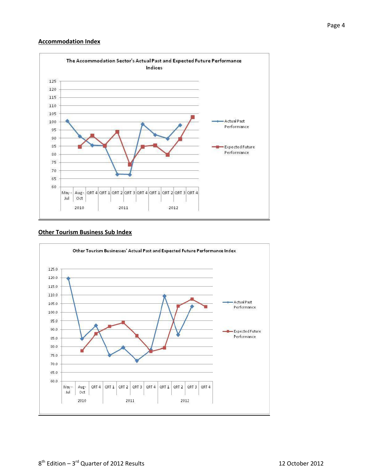#### **Accommodation Index**



#### **Other Tourism Business Sub Index**

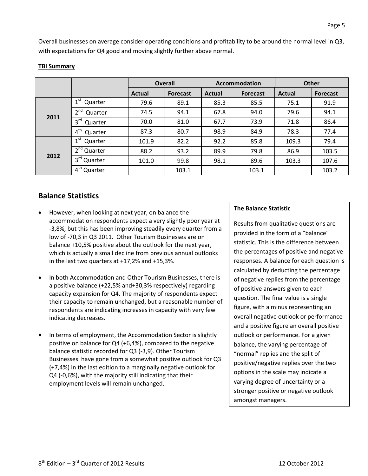Overall businesses on average consider operating conditions and profitability to be around the normal level in Q3, with expectations for Q4 good and moving slightly further above normal.

|      |                            | <b>Overall</b> |                 | <b>Accommodation</b> |                 | <b>Other</b> |          |
|------|----------------------------|----------------|-----------------|----------------------|-----------------|--------------|----------|
|      |                            | <b>Actual</b>  | <b>Forecast</b> | <b>Actual</b>        | <b>Forecast</b> | Actual       | Forecast |
| 2011 | $1^{\rm st}$<br>Quarter    | 79.6           | 89.1            | 85.3                 | 85.5            | 75.1         | 91.9     |
|      | 2 <sup>nd</sup><br>Quarter | 74.5           | 94.1            | 67.8                 | 94.0            | 79.6         | 94.1     |
|      | 3 <sup>rd</sup><br>Quarter | 70.0           | 81.0            | 67.7                 | 73.9            | 71.8         | 86.4     |
|      | $4^{\text{th}}$<br>Quarter | 87.3           | 80.7            | 98.9                 | 84.9            | 78.3         | 77.4     |
| 2012 | $1^{\rm st}$<br>Quarter    | 101.9          | 82.2            | 92.2                 | 85.8            | 109.3        | 79.4     |
|      | $2nd$ Quarter              | 88.2           | 93.2            | 89.9                 | 79.8            | 86.9         | 103.5    |
|      | 3rd Quarter                | 101.0          | 99.8            | 98.1                 | 89.6            | 103.3        | 107.6    |
|      | $4th$ Quarter              |                | 103.1           |                      | 103.1           |              | 103.2    |

#### **TBI Summary**

# **Balance Statistics**

- However, when looking at next year, on balance the accommodation respondents expect a very slightly poor year at -3,8%, but this has been improving steadily every quarter from a low of -70,3 in Q3 2011. Other Tourism Businesses are on balance +10,5% positive about the outlook for the next year, which is actually a small decline from previous annual outlooks in the last two quarters at +17,2% and +15,3%.
- In both Accommodation and Other Tourism Businesses, there is a positive balance (+22,5% and+30,3% respectively) regarding capacity expansion for Q4. The majority of respondents expect their capacity to remain unchanged, but a reasonable number of respondents are indicating increases in capacity with very few indicating decreases.
- In terms of employment, the Accommodation Sector is slightly positive on balance for Q4 (+6,4%), compared to the negative balance statistic recorded for Q3 (-3,9). Other Tourism Businesses have gone from a somewhat positive outlook for Q3 (+7,4%) in the last edition to a marginally negative outlook for Q4 (-0,6%), with the majority still indicating that their employment levels will remain unchanged.

#### **The Balance Statistic**

Results from qualitative questions are provided in the form of a "balance" statistic. This is the difference between the percentages of positive and negative responses. A balance for each question is calculated by deducting the percentage of negative replies from the percentage of positive answers given to each question. The final value is a single figure, with a minus representing an overall negative outlook or performance and a positive figure an overall positive outlook or performance. For a given balance, the varying percentage of "normal" replies and the split of positive/negative replies over the two options in the scale may indicate a varying degree of uncertainty or a stronger positive or negative outlook amongst managers.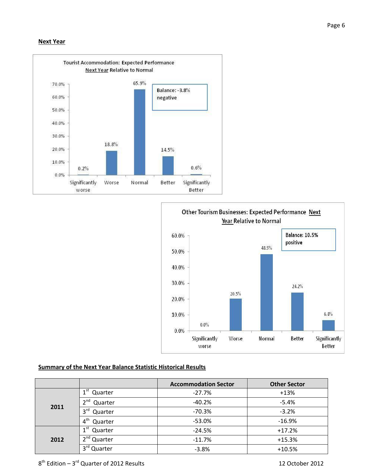#### **Next Year**





#### **Summary of the Next Year Balance Statistic Historical Results**

|      |                            | <b>Accommodation Sector</b> | <b>Other Sector</b> |
|------|----------------------------|-----------------------------|---------------------|
|      | 1 <sup>st</sup><br>Quarter | $-27.7%$                    | $+13%$              |
|      | 2 <sup>nd</sup><br>Quarter | $-40.2%$                    | $-5.4%$             |
| 2011 | 3 <sup>rd</sup><br>Quarter | $-70.3%$                    | $-3.2%$             |
|      | 4 <sup>th</sup><br>Quarter | $-53.0%$                    | $-16.9%$            |
|      | 1 <sup>st</sup><br>Quarter | $-24.5%$                    | $+17.2%$            |
| 2012 | 2 <sup>nd</sup> Quarter    | $-11.7%$                    | $+15.3%$            |
|      | $3^{\text{rd}}$<br>Quarter | $-3.8%$                     | $+10.5%$            |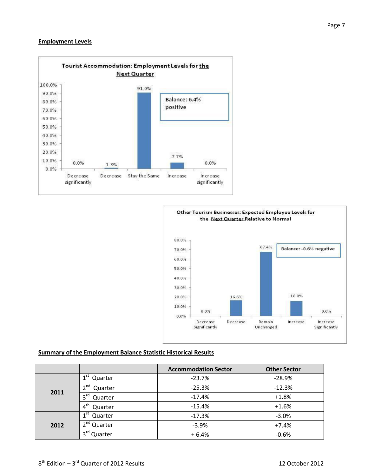#### **Employment Levels**





#### **Summary of the Employment Balance Statistic Historical Results**

|      |                            | <b>Accommodation Sector</b> | <b>Other Sector</b> |  |
|------|----------------------------|-----------------------------|---------------------|--|
|      | 1 <sup>st</sup><br>Quarter | $-23.7%$                    | $-28.9%$            |  |
|      | 2 <sub>nd</sub><br>Quarter | $-25.3%$                    | $-12.3%$            |  |
| 2011 | 3 <sup>rd</sup><br>Quarter | $-17.4%$                    | $+1.8%$             |  |
|      | 4 <sup>th</sup><br>Quarter | $-15.4%$                    | $+1.6%$             |  |
|      | 1 <sup>st</sup> Quarter    | $-17.3%$                    | $-3.0%$             |  |
| 2012 | 2 <sup>nd</sup> Quarter    | $-3.9%$                     | $+7.4%$             |  |
|      | 3 <sup>rd</sup> Quarter    | $+6.4%$                     | $-0.6%$             |  |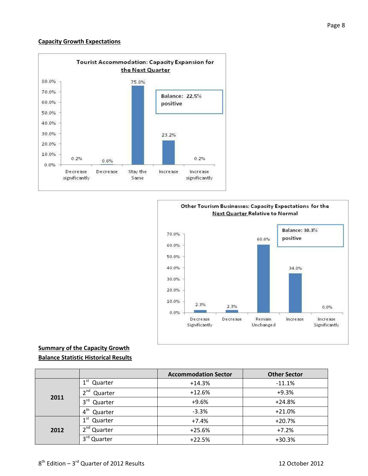#### **Capacity Growth Expectations**





## **Summary of the Capacity Growth Balance Statistic Historical Results**

|      |                            | <b>Accommodation Sector</b> | <b>Other Sector</b> |  |
|------|----------------------------|-----------------------------|---------------------|--|
|      | ⊿st<br>Quarter             | $+14.3%$                    | $-11.1%$            |  |
| 2011 | $\lambda$ nd<br>Quarter    | $+12.6%$                    | $+9.3%$             |  |
|      | 3 <sup>rd</sup><br>Quarter | $+9.6%$                     | $+24.8%$            |  |
|      | 4 <sup>th</sup><br>Quarter | $-3.3%$                     | $+21.0%$            |  |
|      | 1 <sup>st</sup><br>Quarter | $+7.4%$                     | $+20.7%$            |  |
| 2012 | 2 <sub>nd</sub><br>Quarter | $+25.6%$                    | $+7.2%$             |  |
|      | ∩ר<br>Quarter              | $+22.5%$                    | $+30.3%$            |  |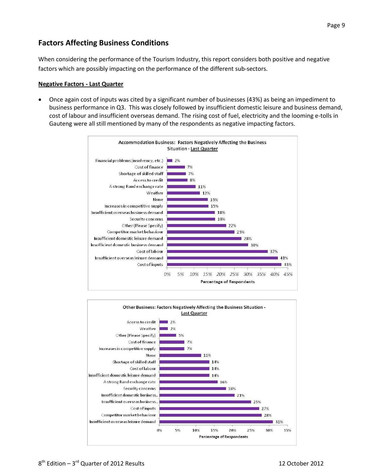# **Factors Affecting Business Conditions**

When considering the performance of the Tourism Industry, this report considers both positive and negative factors which are possibly impacting on the performance of the different sub-sectors.

#### **Negative Factors - Last Quarter**

 Once again cost of inputs was cited by a significant number of businesses (43%) as being an impediment to business performance in Q3. This was closely followed by insufficient domestic leisure and business demand, cost of labour and insufficient overseas demand. The rising cost of fuel, electricity and the looming e-tolls in Gauteng were all still mentioned by many of the respondents as negative impacting factors.



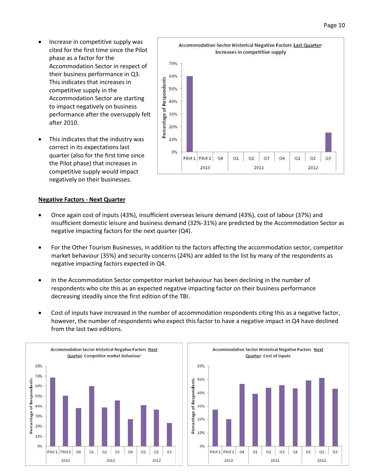- Increase in competitive supply was cited for the first time since the Pilot phase as a factor for the Accommodation Sector in respect of their business performance in Q3. This indicates that increases in competitive supply in the Accommodation Sector are starting to impact negatively on business performance after the oversupply felt after 2010.
- This indicates that the industry was correct in its expectations last quarter (also for the first time since the Pilot phase) that increases in competitive supply would impact negatively on their businesses.



#### **Negative Factors - Next Quarter**

- Once again cost of inputs (43%), insufficient overseas leisure demand (43%), cost of labour (37%) and insufficient domestic leisure and business demand (32%-31%) are predicted by the Accommodation Sector as negative impacting factors for the next quarter (Q4).
- For the Other Tourism Businesses, in addition to the factors affecting the accommodation sector, competitor market behaviour (35%) and security concerns (24%) are added to the list by many of the respondents as negative impacting factors expected in Q4.
- In the Accommodation Sector competitor market behaviour has been declining in the number of respondents who cite this as an expected negative impacting factor on their business performance decreasing steadily since the first edition of the TBI.
- Cost of inputs have increased in the number of accommodation respondents citing this as a negative factor, however, the number of respondents who expect this factor to have a negative impact in Q4 have declined from the last two editions.



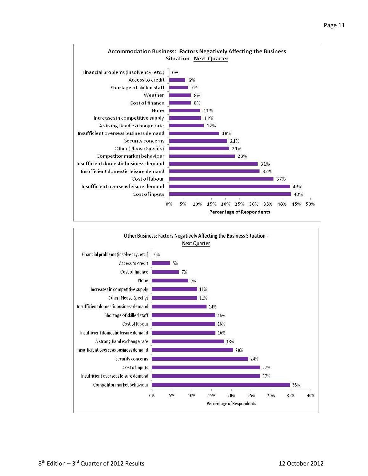

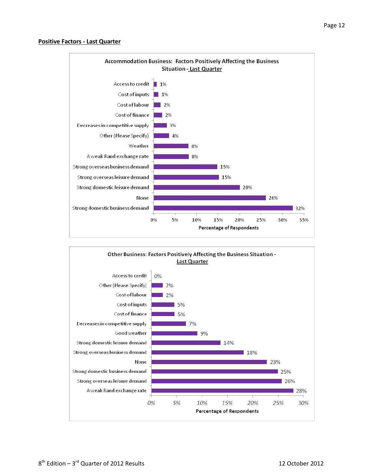#### **Positive Factors - Last Quarter**



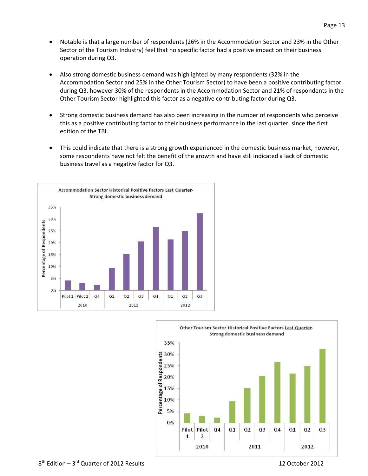- Notable is that a large number of respondents (26% in the Accommodation Sector and 23% in the Other Sector of the Tourism Industry) feel that no specific factor had a positive impact on their business operation during Q3.
- Also strong domestic business demand was highlighted by many respondents (32% in the Accommodation Sector and 25% in the Other Tourism Sector) to have been a positive contributing factor during Q3, however 30% of the respondents in the Accommodation Sector and 21% of respondents in the Other Tourism Sector highlighted this factor as a negative contributing factor during Q3.
- Strong domestic business demand has also been increasing in the number of respondents who perceive this as a positive contributing factor to their business performance in the last quarter, since the first edition of the TBI.
- This could indicate that there is a strong growth experienced in the domestic business market, however, some respondents have not felt the benefit of the growth and have still indicated a lack of domestic business travel as a negative factor for Q3.



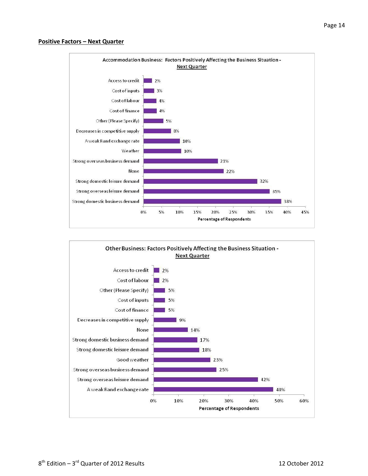#### **Positive Factors – Next Quarter**



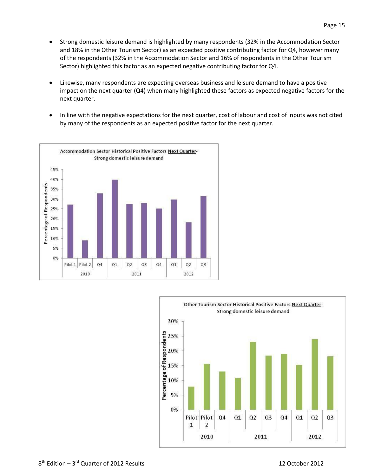- Likewise, many respondents are expecting overseas business and leisure demand to have a positive impact on the next quarter (Q4) when many highlighted these factors as expected negative factors for the next quarter.
- In line with the negative expectations for the next quarter, cost of labour and cost of inputs was not cited by many of the respondents as an expected positive factor for the next quarter.



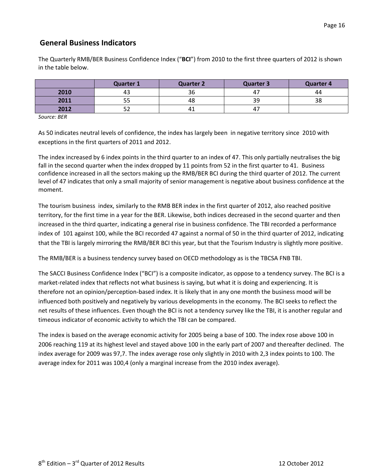# **General Business Indicators**

The Quarterly RMB/BER Business Confidence Index ("**BCI**") from 2010 to the first three quarters of 2012 is shown in the table below.

|      | <b>Quarter 1</b> | <b>Quarter 2</b> | Quarter 3      | <b>Quarter 4</b> |
|------|------------------|------------------|----------------|------------------|
| 2010 | 43               | 36               | 4 <sub>1</sub> | 44               |
| 2011 | r r<br>ככ        | 48               | 39             | 38               |
| 2012 | г٦<br>ے ر        | ⊥ 4              | 4.             |                  |

*Source: BER*

As 50 indicates neutral levels of confidence, the index has largely been in negative territory since 2010 with exceptions in the first quarters of 2011 and 2012.

The index increased by 6 index points in the third quarter to an index of 47. This only partially neutralises the big fall in the second quarter when the index dropped by 11 points from 52 in the first quarter to 41. Business confidence increased in all the sectors making up the RMB/BER BCI during the third quarter of 2012. The current level of 47 indicates that only a small majority of senior management is negative about business confidence at the moment.

The tourism business index, similarly to the RMB BER index in the first quarter of 2012, also reached positive territory, for the first time in a year for the BER. Likewise, both indices decreased in the second quarter and then increased in the third quarter, indicating a general rise in business confidence. The TBI recorded a performance index of 101 against 100, while the BCI recorded 47 against a normal of 50 in the third quarter of 2012, indicating that the TBI is largely mirroring the RMB/BER BCI this year, but that the Tourism Industry is slightly more positive.

The RMB/BER is a business tendency survey based on OECD methodology as is the TBCSA FNB TBI.

The SACCI Business Confidence Index ("BCI") is a composite indicator, as oppose to a tendency survey. The BCI is a market-related index that reflects not what business is saying, but what it is doing and experiencing. It is therefore not an opinion/perception-based index. It is likely that in any one month the business mood will be influenced both positively and negatively by various developments in the economy. The BCI seeks to reflect the net results of these influences. Even though the BCI is not a tendency survey like the TBI, it is another regular and timeous indicator of economic activity to which the TBI can be compared.

The index is based on the average economic activity for 2005 being a base of 100. The index rose above 100 in 2006 reaching 119 at its highest level and stayed above 100 in the early part of 2007 and thereafter declined. The index average for 2009 was 97,7. The index average rose only slightly in 2010 with 2,3 index points to 100. The average index for 2011 was 100,4 (only a marginal increase from the 2010 index average).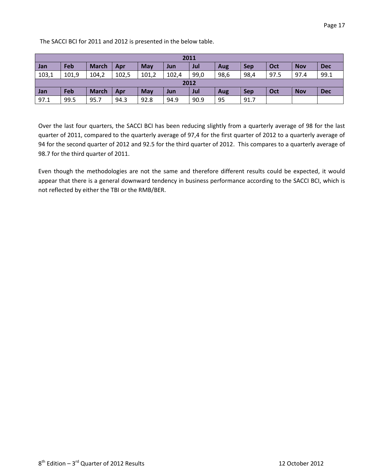The SACCI BCI for 2011 and 2012 is presented in the below table.

| 2011  |       |              |       |       |       |      |            |            |      |            |            |
|-------|-------|--------------|-------|-------|-------|------|------------|------------|------|------------|------------|
| Jan   | Feb   | <b>March</b> | Apr   | May   | Jun   | Jul  | Aug        | <b>Sep</b> | Oct  | <b>Nov</b> | <b>Dec</b> |
| 103,1 | 101,9 | 104,2        | 102,5 | 101,2 | 102,4 | 99,0 | 98,6       | 98,4       | 97.5 | 97.4       | 99.1       |
| 2012  |       |              |       |       |       |      |            |            |      |            |            |
| Jan   | Feb   | <b>March</b> | Apr   | May   | Jun   | Jul  | <b>Aug</b> | <b>Sep</b> | Oct  | <b>Nov</b> | <b>Dec</b> |
| 97.1  | 99.5  | 95.7         | 94.3  | 92.8  | 94.9  | 90.9 | 95         | 91.7       |      |            |            |

Over the last four quarters, the SACCI BCI has been reducing slightly from a quarterly average of 98 for the last quarter of 2011, compared to the quarterly average of 97,4 for the first quarter of 2012 to a quarterly average of 94 for the second quarter of 2012 and 92.5 for the third quarter of 2012. This compares to a quarterly average of 98.7 for the third quarter of 2011.

Even though the methodologies are not the same and therefore different results could be expected, it would appear that there is a general downward tendency in business performance according to the SACCI BCI, which is not reflected by either the TBI or the RMB/BER.